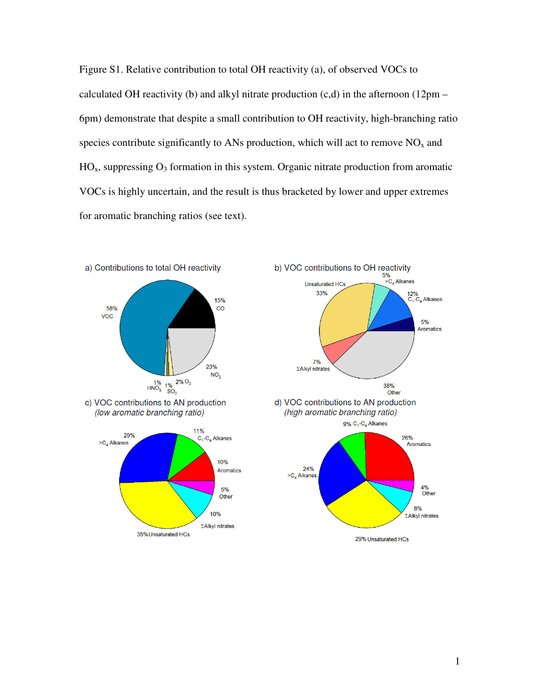Figure S1. Relative contribution to total OH reactivity (a), of observed VOCs to calculated OH reactivity (b) and alkyl nitrate production  $(c,d)$  in the afternoon (12pm – 6pm) demonstrate that despite a small contribution to OH reactivity, high-branching ratio species contribute significantly to ANs production, which will act to remove  $NO<sub>x</sub>$  and  $HO<sub>x</sub>$ , suppressing  $O<sub>3</sub>$  formation in this system. Organic nitrate production from aromatic VOCs is highly uncertain, and the result is thus bracketed by lower and upper extremes for aromatic branching ratios (see text).

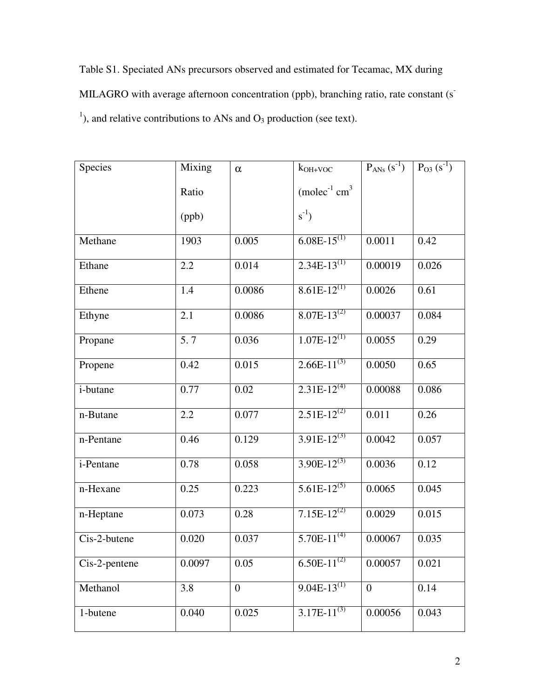Table S1. Speciated ANs precursors observed and estimated for Tecamac, MX during MILAGRO with average afternoon concentration (ppb), branching ratio, rate constant (s<sup>-</sup> <sup>1</sup>), and relative contributions to ANs and  $O_3$  production (see text).

| Species          | Mixing | $\alpha$         | $k_{OH+VOC}$                 | $P_{ANS} (s^{-1})$ | $P_{O3}(s^{-1})$ |
|------------------|--------|------------------|------------------------------|--------------------|------------------|
|                  | Ratio  |                  | $(molec-1 cm3)$              |                    |                  |
|                  | (ppb)  |                  | $s^{-1}$ )                   |                    |                  |
| Methane          | 1903   | 0.005            | $6.08E - 15^{(1)}$           | 0.0011             | 0.42             |
| Ethane           | 2.2    | 0.014            | $2.34E-13^{(1)}$             | 0.00019            | 0.026            |
| Ethene           | 1.4    | 0.0086           | $8.61E-12^{(1)}$             | 0.0026             | 0.61             |
| Ethyne           | 2.1    | 0.0086           | $8.07E-13^{(2)}$             | 0.00037            | 0.084            |
| Propane          | 5.7    | 0.036            | $1.07E-12^{(1)}$             | 0.0055             | 0.29             |
| Propene          | 0.42   | 0.015            | $2.66E-11^{(3)}$             | 0.0050             | 0.65             |
| <i>i</i> -butane | 0.77   | 0.02             | $2.31E-12^{(4)}$             | 0.00088            | 0.086            |
| n-Butane         | 2.2    | 0.077            | $2.51E-12^{(2)}$             | 0.011              | 0.26             |
| n-Pentane        | 0.46   | 0.129            | $3.91E-12^{(3)}$             | 0.0042             | 0.057            |
| i-Pentane        | 0.78   | 0.058            | $3.90E-12^{(3)}$             | 0.0036             | 0.12             |
| n-Hexane         | 0.25   | 0.223            | $5.61E-12^{(5)}$             | 0.0065             | 0.045            |
| n-Heptane        | 0.073  | 0.28             | $7.15E-12^{(2)}$             | 0.0029             | 0.015            |
| Cis-2-butene     | 0.020  | 0.037            | $5.70E-11^{(4)}$             | 0.00067            | 0.035            |
| Cis-2-pentene    | 0.0097 | 0.05             | 6.50E- $\overline{11^{(2)}}$ | 0.00057            | 0.021            |
| Methanol         | 3.8    | $\boldsymbol{0}$ | $9.04E-13^{(1)}$             | $\overline{0}$     | 0.14             |
| 1-butene         | 0.040  | 0.025            | $3.17E-11^{(3)}$             | 0.00056            | 0.043            |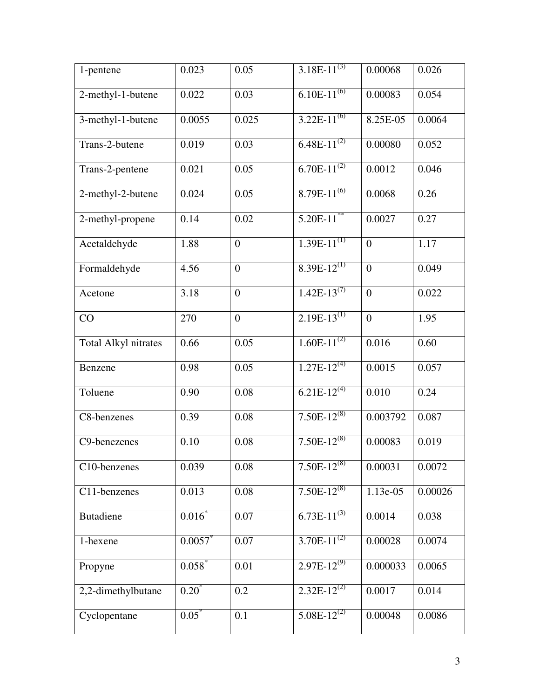| 1-pentene                   | 0.023      | 0.05             | $3.\overline{18E-11^{(3)}}$ | 0.00068        | 0.026   |
|-----------------------------|------------|------------------|-----------------------------|----------------|---------|
| 2-methyl-1-butene           | 0.022      | 0.03             | $6.10E-11^{(6)}$            | 0.00083        | 0.054   |
| 3-methyl-1-butene           | 0.0055     | 0.025            | $3.22E-11^{(6)}$            | 8.25E-05       | 0.0064  |
| Trans-2-butene              | 0.019      | 0.03             | $6.48E-11^{(2)}$            | 0.00080        | 0.052   |
| Trans-2-pentene             | 0.021      | 0.05             | $6.70E-11^{(2)}$            | 0.0012         | 0.046   |
| 2-methyl-2-butene           | 0.024      | 0.05             | $8.79E-11^{(6)}$            | 0.0068         | 0.26    |
| 2-methyl-propene            | 0.14       | 0.02             | $5.20E-11$ **               | 0.0027         | 0.27    |
| Acetaldehyde                | 1.88       | $\boldsymbol{0}$ | $1.39E-11^{(1)}$            | $\overline{0}$ | 1.17    |
| Formaldehyde                | 4.56       | $\overline{0}$   | $8.39E-12^{(1)}$            | $\overline{0}$ | 0.049   |
| Acetone                     | 3.18       | $\overline{0}$   | $1.42E-13^{(7)}$            | $\overline{0}$ | 0.022   |
| CO                          | 270        | $\boldsymbol{0}$ | $2.19E-13^{(1)}$            | $\overline{0}$ | 1.95    |
| <b>Total Alkyl nitrates</b> | 0.66       | 0.05             | $1.60E-11^{(2)}$            | 0.016          | 0.60    |
| Benzene                     | 0.98       | 0.05             | $1.27E-12^{(4)}$            | 0.0015         | 0.057   |
| Toluene                     | 0.90       | 0.08             | $6.21E-12^{(4)}$            | 0.010          | 0.24    |
| C8-benzenes                 | 0.39       | 0.08             | $7.50E-12^{(8)}$            | 0.003792       | 0.087   |
| C9-benezenes                | 0.10       | 0.08             | $7.50E-12^{(8)}$            | 0.00083        | 0.019   |
| C10-benzenes                | 0.039      | 0.08             | $7.50E-12^{(8)}$            | 0.00031        | 0.0072  |
| C11-benzenes                | 0.013      | 0.08             | $7.\overline{50E-12}^{(8)}$ | 1.13e-05       | 0.00026 |
| <b>Butadiene</b>            | $0.016*$   | 0.07             | $6.73E-11^{(3)}$            | 0.0014         | 0.038   |
| 1-hexene                    | $0.0057$ * | 0.07             | $3.70E-11^{(2)}$            | 0.00028        | 0.0074  |
| Propyne                     | 0.058      | 0.01             | $2.97E-12^{(9)}$            | 0.000033       | 0.0065  |
| 2,2-dimethylbutane          | $0.20^*$   | 0.2              | $2.32E-12^{(2)}$            | 0.0017         | 0.014   |
| Cyclopentane                | $0.05^*$   | 0.1              | $5.08E-12^{(2)}$            | 0.00048        | 0.0086  |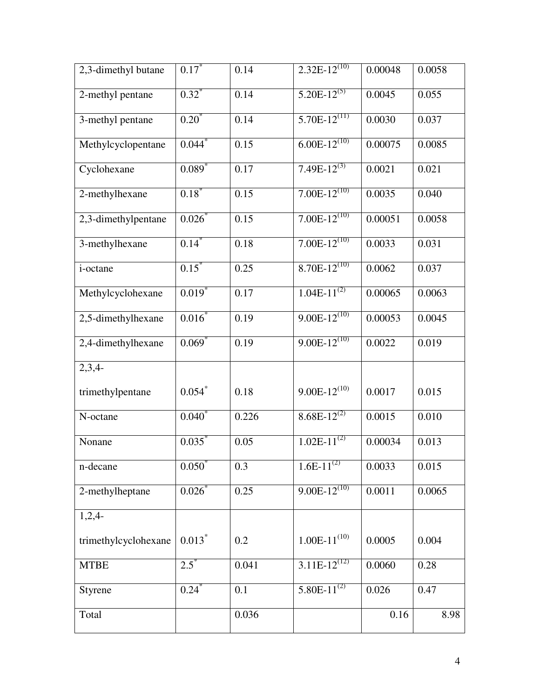| 2,3-dimethyl butane  | $0.17^*$             | 0.14  | $2.\overline{32E-12}^{(10)}$ | 0.00048 | 0.0058 |
|----------------------|----------------------|-------|------------------------------|---------|--------|
| 2-methyl pentane     | $0.32$ <sup>*</sup>  | 0.14  | $5.20E-12^{(5)}$             | 0.0045  | 0.055  |
| 3-methyl pentane     | $0.20^{*}$           | 0.14  | $5.70E-12^{(11)}$            | 0.0030  | 0.037  |
| Methylcyclopentane   | 0.044                | 0.15  | $6.\overline{00E-12}^{(10)}$ | 0.00075 | 0.0085 |
| Cyclohexane          | $0.089^{*}$          | 0.17  | $7.49E-12^{(3)}$             | 0.0021  | 0.021  |
| 2-methylhexane       | 0.18                 | 0.15  | $7.00E-12^{(10)}$            | 0.0035  | 0.040  |
| 2,3-dimethylpentane  | $0.026^{*}$          | 0.15  | $7.00E-12^{(10)}$            | 0.00051 | 0.0058 |
| 3-methylhexane       | $0.14$ <sup>*</sup>  | 0.18  | $7.00E-12^{(10)}$            | 0.0033  | 0.031  |
| i-octane             | $0.15^*$             | 0.25  | $8.70E-12^{(10)}$            | 0.0062  | 0.037  |
| Methylcyclohexane    | $0.019$ <sup>*</sup> | 0.17  | $1.04E-11^{(2)}$             | 0.00065 | 0.0063 |
| 2,5-dimethylhexane   | $0.016*$             | 0.19  | $9.00E-12^{(10)}$            | 0.00053 | 0.0045 |
| 2,4-dimethylhexane   | $0.069*$             | 0.19  | $9.00E-12^{(10)}$            | 0.0022  | 0.019  |
| $2,3,4-$             |                      |       |                              |         |        |
| trimethylpentane     | $0.054$ *            | 0.18  | $9.00E-12^{(10)}$            | 0.0017  | 0.015  |
| N-octane             | $0.040^{*}$          | 0.226 | $8.68E-12^{(2)}$             | 0.0015  | 0.010  |
| Nonane               | 0.035                | 0.05  | $1.02E-11^{(2)}$             | 0.00034 | 0.013  |
| n-decane             | $0.050^*$            | 0.3   | $1.6E-11^{(2)}$              | 0.0033  | 0.015  |
| 2-methylheptane      | 0.026                | 0.25  | $9.00E-12^{(10)}$            | 0.0011  | 0.0065 |
| $1,2,4-$             |                      |       |                              |         |        |
| trimethylcyclohexane | $0.013*$             | 0.2   | $1.00E-11^{(10)}$            | 0.0005  | 0.004  |
| <b>MTBE</b>          | $2.5^*$              | 0.041 | $3.11E-12^{(12)}$            | 0.0060  | 0.28   |
| Styrene              | $0.24^*$             | 0.1   | $5.80E-11^{(2)}$             | 0.026   | 0.47   |
| Total                |                      | 0.036 |                              | 0.16    | 8.98   |